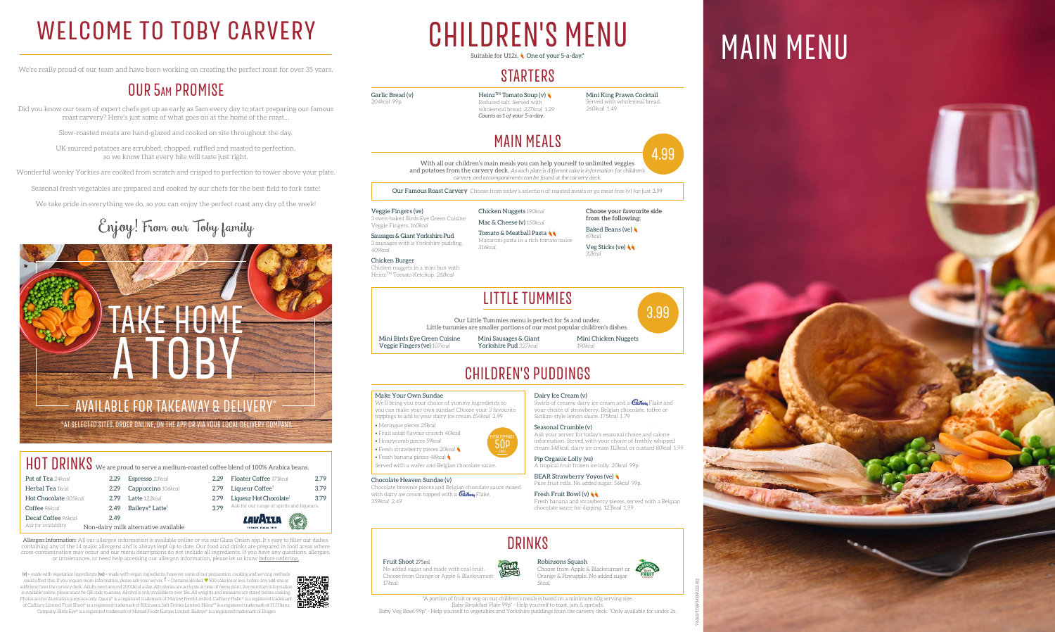## DRINKS

Fruit Shoot 275ml No added sugar and made with real fruit. Choose from Orange or Apple & Blackcurrant *17kcal*.

Choose from Apple & Blackcurrant or Orange & Pineapple. No added sugar *5kcal*.

#### Robinsons Squash

 $(v)$  = made with vegetarian ingredients,  $(ve)$  = made with vegan ingredients, however some of our preparation, cooking and serving methods could affect this. If you require more information, please ask your server.  $\dagger$  = Contains alcohol.  $\blacktriangledown$  500 calories or less, before any add-ons or additions from the carvery deck. Adults need around 2000kcal a day. All calories are accurate at time of menu print, live nutrition information is available online, please scan the QR code to access. Alcohol is only available to over 18s. All weights and measures are stated before cooking. Photos are for illustrative purposes only. Quorn® is a registered trademark of Marlow Foods Limited. Cadbury Flake® is a registered tradema of Cadbury Limited. Fruit Shoot® is a registered trademark of Robinsons Soft Drinks Limited. Heinz™ is a registered trademark of H J Heinz

Heinz<sup>TM</sup> Tomato Soup (v) Reduced salt. Served with wholemeal bread. *227kcal* 1.29 *Counts as 1 of your 5-a-day.*

Company. Birds Eye® is a registered trademark of Nomad Foods Europe Limited. Baileys® is a registered trademark of Diageo

## WELCOME TO TOBY CARVERY CHILDREN'S MENU MAIN MENU CHILDREN'S MENU Suitable for U12s. **One of your 5-a-day.**

## **STARTERS**

We're really proud of our team and have been working on creating the perfect roast for over 35 years.

## OUR 5am PROMISE

Did you know our team of expert chefs get up as early as 5am every day to start preparing our famous roast carvery? Here's just some of what goes on at the home of the roast…

> Tomato & Meatball Pasta Macaroni pasta in a rich tomato sauce *316kcal*.

**Choose your favourite side from the following:** Baked Beans (ve)

Slow-roasted meats are hand-glazed and cooked on site throughout the day.

UK sourced potatoes are scrubbed, chopped, ruffled and roasted to perfection, so we know that every bite will taste just right.

Wonderful wonky Yorkies are cooked from scratch and crisped to perfection to tower above your plate.

Seasonal fresh vegetables are prepared and cooked by our chefs for the best field to fork taste!

Swirls of creamy dairy ice cream and a  $\mathcal{C}_{\mathit{abbuvy}}$  Flake and your choice of strawberry, Belgian chocolate, toffee or



We take pride in everything we do, so you can enjoy the perfect roast any day of the week!

# Enjoy! From our Toby family

BEAR Strawberry Yoyos (ve) Pure fruit rolls. No added sugar. *56kcal* 99p.

Garlic Bread (v)

*204kcal* 99p

**Fresh Fruit Bowl (v)** Fresh banana and strawberry pieces, served with a Belgian chocolate sauce for dipping. *123kcal* 1.99

TRA TOPPIN<br>**50p** EXTRA TOPPINGS







*260kcal* 1.49

## MAIN MEALS

With all our children's main meals you can help yourself to unlimited veggies and potatoes from the carvery deck. *As each plate is different calorie information for children's carvery and accompaniments can be found at the carvery deck.*

Our Famous Roast Carvery Choose from today's selection of roasted meats or go meat free (v) for just 3.99

Veggie Fingers (ve) 3 oven-baked Birds Eye Green Cuisine Veggie Fingers. *160kcal*

#### HOT DRINKS We are proud to serve a medium-roasted coffee blend of 100% Arabica beans. Pot of Tea 24kcal Floater Coffee *171kcal* 2.79 Espresso *23kcal* 2.29 **Herbal Tea** 1kcal 2.79 Liqueur Coffee<sup>†</sup> 3.79 2.29 Cappuccino 106kcal Hot Chocolate *305kcal* 2.79 Latte 122kcal 2.79 Liqueur Hot Chocolate<sup>†</sup> 3.79 Ask for our range of spirits and liqueurs. Coffee *96kcal* 2.49 Baileys® Latte† 3.79 Decaf Coffee *96kcal* 2.49 *LAVI*RIA Ask for availability Non-dairy milk alternative available

Sausages & Giant Yorkshire Pud 3 sausages with a Yorkshire pudding. *409kcal*

Chicken Burger Chicken nuggets in a mini bun with HeinzTM Tomato Ketchup. *261kcal*

Chicken Nuggets *190kcal* Mac & Cheese (v) *150kcal*

> *67kcal* Veg Sticks (ve) *32kcal*

# CHILDREN'S PUDDINGS

#### Make Your Own Sundae

We'll bring you your choice of yummy ingredients so you can make your own sundae! Choose your 3 favourite toppings to add to your dairy ice cream *154kcal* 2.99

- Meringue pieces *25kcal*
- Fruit salad flavour crunch *40kcal*
- Honeycomb pieces *59kcal*
- Fresh strawberry pieces *20kcal*
- Fresh banana pieces *48kcal*

Served with a wafer and Belgian chocolate sauce.

#### Chocolate Heaven Sundae (v)

Chocolate brownie pieces and Belgian chocolate sauce mixed with dairy ice cream topped with a **Cabury** Flake. *359kcal* 2.49

Dairy Ice Cream (v)

Sicilian-style lemon sauce. *175kcal* 1.79 Seasonal Crumble (v) Ask your server for today's seasonal choice and calorie

information. Served with your choice of freshly whipped cream *148kcal*, dairy ice cream *112kcal*, or custard *80kcal* 1.99

Pip Organic Lolly (ve) A tropical fruit frozen ice lolly. *20kcal* 99p

## LITTLE TUMMIES

Our Little Tummies menu is perfect for 5s and under. Little tummies are smaller portions of our most popular children's dishes.



Mini Birds Eye Green Cuisine Veggie Fingers (ve) *107kcal*

Mini Sausages & Giant Yorkshire Pud *327kcal*

Mini Chicken Nuggets *190kcal*

\*AT SELECTED SITES. ORDER ONLINE, ON THE APP OR VIA YOUR LOCAL DELIVERY COMPANY.



\*A portion of fruit or veg on our children's meals is based on a minimum 60g serving size. Baby Breakfast Plate 99p\* - Help yourself to toast, jam & spreads. Baby Veg Bowl 99p\* - Help yourself to vegetables and Yorkshire puddings from the carvery deck. \*Only available for under 2s.







Allergen Information: All our allergen information is available online or via our Glass Onion app. It's easy to filter out dishes containing any of the 14 major allergens and is always kept up to date. Our food and drinks are prepared in food areas where cross-contamination may occur and our menu descriptions do not include all ingredients. If you have any questions, allergies, or intolerances, or need help accessing our allergen information, please let us know before ordering.